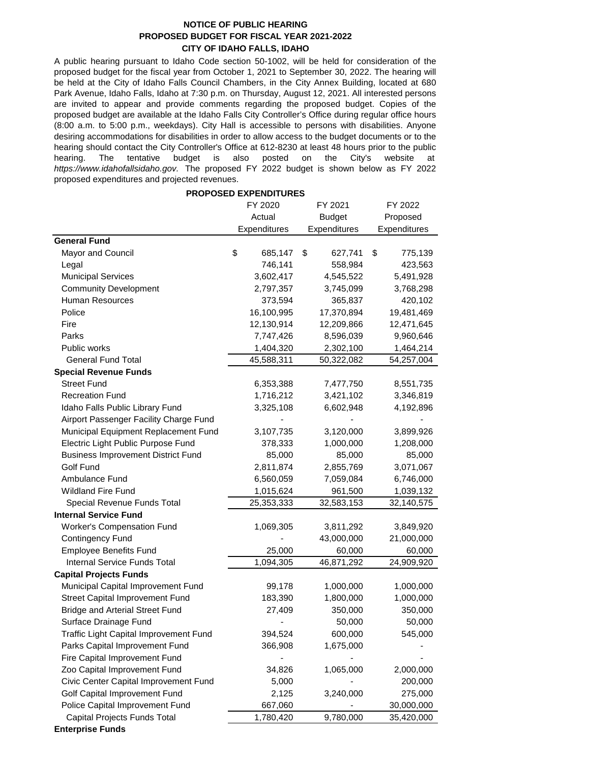## **NOTICE OF PUBLIC HEARING PROPOSED BUDGET FOR FISCAL YEAR 2021-2022 CITY OF IDAHO FALLS, IDAHO**

A public hearing pursuant to Idaho Code section 50-1002, will be held for consideration of the proposed budget for the fiscal year from October 1, 2021 to September 30, 2022. The hearing will be held at the City of Idaho Falls Council Chambers, in the City Annex Building, located at 680 Park Avenue, Idaho Falls, Idaho at 7:30 p.m. on Thursday, August 12, 2021. All interested persons are invited to appear and provide comments regarding the proposed budget. Copies of the proposed budget are available at the Idaho Falls City Controller's Office during regular office hours (8:00 a.m. to 5:00 p.m., weekdays). City Hall is accessible to persons with disabilities. Anyone desiring accommodations for disabilities in order to allow access to the budget documents or to the hearing should contact the City Controller's Office at 612-8230 at least 48 hours prior to the public hearing. The tentative budget is also posted on the City's website at *https://www.idahofallsidaho.gov.* The proposed FY 2022 budget is shown below as FY 2022 proposed expenditures and projected revenues.

## **PROPOSED EXPENDITURES**

|                                           | FY 2020 |              | FY 2021       |              | FY 2022  |              |
|-------------------------------------------|---------|--------------|---------------|--------------|----------|--------------|
|                                           | Actual  |              | <b>Budget</b> |              | Proposed |              |
|                                           |         | Expenditures |               | Expenditures |          | Expenditures |
| <b>General Fund</b>                       |         |              |               |              |          |              |
| Mayor and Council                         | \$      | 685,147      | \$            | 627,741      | \$       | 775,139      |
| Legal                                     |         | 746,141      |               | 558,984      |          | 423,563      |
| <b>Municipal Services</b>                 |         | 3,602,417    |               | 4,545,522    |          | 5,491,928    |
| <b>Community Development</b>              |         | 2,797,357    |               | 3,745,099    |          | 3,768,298    |
| Human Resources                           |         | 373,594      |               | 365,837      |          | 420,102      |
| Police                                    |         | 16,100,995   |               | 17,370,894   |          | 19,481,469   |
| Fire                                      |         | 12,130,914   |               | 12,209,866   |          | 12,471,645   |
| Parks                                     |         | 7,747,426    |               | 8,596,039    |          | 9,960,646    |
| Public works                              |         | 1,404,320    |               | 2,302,100    |          | 1,464,214    |
| <b>General Fund Total</b>                 |         | 45,588,311   |               | 50,322,082   |          | 54,257,004   |
| <b>Special Revenue Funds</b>              |         |              |               |              |          |              |
| <b>Street Fund</b>                        |         | 6,353,388    |               | 7,477,750    |          | 8,551,735    |
| <b>Recreation Fund</b>                    |         | 1,716,212    |               | 3,421,102    |          | 3,346,819    |
| Idaho Falls Public Library Fund           |         | 3,325,108    |               | 6,602,948    |          | 4,192,896    |
| Airport Passenger Facility Charge Fund    |         |              |               |              |          |              |
| Municipal Equipment Replacement Fund      |         | 3,107,735    |               | 3,120,000    |          | 3,899,926    |
| Electric Light Public Purpose Fund        |         | 378,333      |               | 1,000,000    |          | 1,208,000    |
| <b>Business Improvement District Fund</b> |         | 85,000       |               | 85,000       |          | 85,000       |
| Golf Fund                                 |         | 2,811,874    |               | 2,855,769    |          | 3,071,067    |
| Ambulance Fund                            |         | 6,560,059    |               | 7,059,084    |          | 6,746,000    |
| <b>Wildland Fire Fund</b>                 |         | 1,015,624    |               | 961,500      |          | 1,039,132    |
| Special Revenue Funds Total               |         | 25,353,333   |               | 32,583,153   |          | 32,140,575   |
| <b>Internal Service Fund</b>              |         |              |               |              |          |              |
| <b>Worker's Compensation Fund</b>         |         | 1,069,305    |               | 3,811,292    |          | 3,849,920    |
| <b>Contingency Fund</b>                   |         |              |               | 43,000,000   |          | 21,000,000   |
| <b>Employee Benefits Fund</b>             |         | 25,000       |               | 60,000       |          | 60,000       |
| Internal Service Funds Total              |         | 1,094,305    |               | 46,871,292   |          | 24,909,920   |
| <b>Capital Projects Funds</b>             |         |              |               |              |          |              |
| Municipal Capital Improvement Fund        |         | 99,178       |               | 1,000,000    |          | 1,000,000    |
| Street Capital Improvement Fund           |         | 183,390      |               | 1,800,000    |          | 1,000,000    |
| <b>Bridge and Arterial Street Fund</b>    |         | 27,409       |               | 350,000      |          | 350,000      |
| Surface Drainage Fund                     |         |              |               | 50,000       |          | 50,000       |
| Traffic Light Capital Improvement Fund    |         | 394,524      |               | 600,000      |          | 545,000      |
| Parks Capital Improvement Fund            |         | 366,908      |               | 1,675,000    |          |              |
| Fire Capital Improvement Fund             |         |              |               |              |          |              |
| Zoo Capital Improvement Fund              |         | 34,826       |               | 1,065,000    |          | 2,000,000    |
| Civic Center Capital Improvement Fund     |         | 5,000        |               |              |          | 200,000      |
| Golf Capital Improvement Fund             |         | 2,125        |               | 3,240,000    |          | 275,000      |
| Police Capital Improvement Fund           |         | 667,060      |               |              |          | 30,000,000   |
| Capital Projects Funds Total              |         | 1,780,420    |               | 9,780,000    |          | 35,420,000   |

**Enterprise Funds**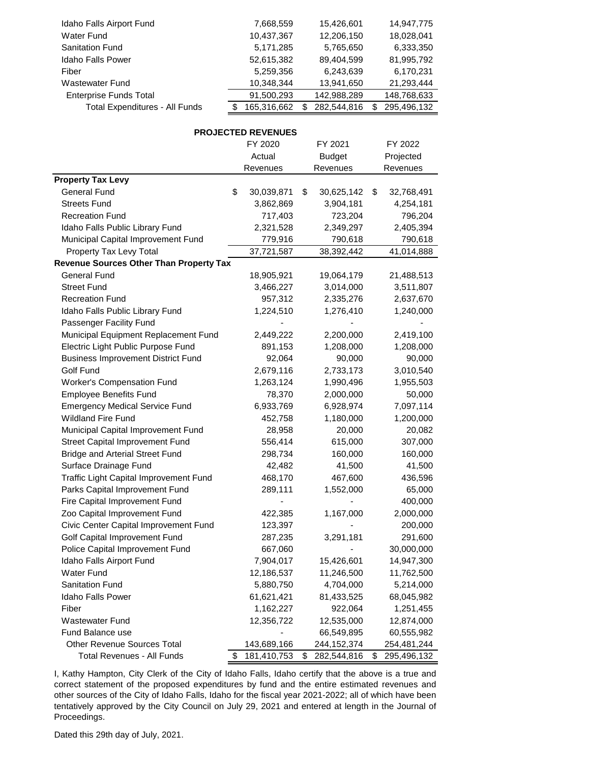| Idaho Falls Airport Fund              | 7,668,559   | 15,426,601  |   | 14,947,775  |
|---------------------------------------|-------------|-------------|---|-------------|
| <b>Water Fund</b>                     | 10,437,367  | 12,206,150  |   | 18,028,041  |
| <b>Sanitation Fund</b>                | 5,171,285   | 5,765,650   |   | 6,333,350   |
| <b>Idaho Falls Power</b>              | 52,615,382  | 89.404.599  |   | 81,995,792  |
| Fiber                                 | 5,259,356   | 6,243,639   |   | 6,170,231   |
| <b>Wastewater Fund</b>                | 10,348,344  | 13,941,650  |   | 21,293,444  |
| <b>Enterprise Funds Total</b>         | 91,500,293  | 142,988,289 |   | 148,768,633 |
| <b>Total Expenditures - All Funds</b> | 165,316,662 | 282,544,816 | S | 295,496,132 |

## **PROJECTED REVENUES**

|                                                | FY 2020           | FY 2021 |               | FY 2022 |             |  |
|------------------------------------------------|-------------------|---------|---------------|---------|-------------|--|
|                                                | Actual            |         | <b>Budget</b> |         | Projected   |  |
|                                                | Revenues          |         | Revenues      |         | Revenues    |  |
| <b>Property Tax Levy</b>                       |                   |         |               |         |             |  |
| <b>General Fund</b>                            | \$<br>30,039,871  | \$      | 30,625,142    | \$      | 32,768,491  |  |
| <b>Streets Fund</b>                            | 3,862,869         |         | 3,904,181     |         | 4,254,181   |  |
| <b>Recreation Fund</b>                         | 717,403           |         | 723,204       |         | 796,204     |  |
| Idaho Falls Public Library Fund                | 2,321,528         |         | 2,349,297     |         | 2,405,394   |  |
| Municipal Capital Improvement Fund             | 779,916           |         | 790,618       |         | 790,618     |  |
| Property Tax Levy Total                        | 37,721,587        |         | 38,392,442    |         | 41,014,888  |  |
| <b>Revenue Sources Other Than Property Tax</b> |                   |         |               |         |             |  |
| General Fund                                   | 18,905,921        |         | 19,064,179    |         | 21,488,513  |  |
| <b>Street Fund</b>                             | 3,466,227         |         | 3,014,000     |         | 3,511,807   |  |
| <b>Recreation Fund</b>                         | 957,312           |         | 2,335,276     |         | 2,637,670   |  |
| Idaho Falls Public Library Fund                | 1,224,510         |         | 1,276,410     |         | 1,240,000   |  |
| Passenger Facility Fund                        |                   |         |               |         |             |  |
| Municipal Equipment Replacement Fund           | 2,449,222         |         | 2,200,000     |         | 2,419,100   |  |
| Electric Light Public Purpose Fund             | 891,153           |         | 1,208,000     |         | 1,208,000   |  |
| <b>Business Improvement District Fund</b>      | 92,064            |         | 90,000        |         | 90,000      |  |
| Golf Fund                                      | 2,679,116         |         | 2,733,173     |         | 3,010,540   |  |
| <b>Worker's Compensation Fund</b>              | 1,263,124         |         | 1,990,496     |         | 1,955,503   |  |
| <b>Employee Benefits Fund</b>                  | 78,370            |         | 2,000,000     |         | 50,000      |  |
| <b>Emergency Medical Service Fund</b>          | 6,933,769         |         | 6,928,974     |         | 7,097,114   |  |
| <b>Wildland Fire Fund</b>                      | 452,758           |         | 1,180,000     |         | 1,200,000   |  |
| Municipal Capital Improvement Fund             | 28,958            |         | 20,000        |         | 20,082      |  |
| Street Capital Improvement Fund                | 556,414           |         | 615,000       |         | 307,000     |  |
| <b>Bridge and Arterial Street Fund</b>         | 298,734           |         | 160,000       |         | 160,000     |  |
| Surface Drainage Fund                          | 42,482            |         | 41,500        |         | 41,500      |  |
| Traffic Light Capital Improvement Fund         | 468,170           |         | 467,600       |         | 436,596     |  |
| Parks Capital Improvement Fund                 | 289,111           |         | 1,552,000     |         | 65,000      |  |
| Fire Capital Improvement Fund                  |                   |         |               |         | 400,000     |  |
| Zoo Capital Improvement Fund                   | 422,385           |         | 1,167,000     |         | 2,000,000   |  |
| Civic Center Capital Improvement Fund          | 123,397           |         |               |         | 200,000     |  |
| Golf Capital Improvement Fund                  | 287,235           |         | 3,291,181     |         | 291,600     |  |
| Police Capital Improvement Fund                | 667,060           |         |               |         | 30,000,000  |  |
| Idaho Falls Airport Fund                       | 7,904,017         |         | 15,426,601    |         | 14,947,300  |  |
| Water Fund                                     | 12,186,537        |         | 11,246,500    |         | 11,762,500  |  |
| Sanitation Fund                                | 5,880,750         |         | 4,704,000     |         | 5,214,000   |  |
| <b>Idaho Falls Power</b>                       | 61,621,421        |         | 81,433,525    |         | 68,045,982  |  |
| Fiber                                          | 1,162,227         |         | 922,064       |         | 1,251,455   |  |
| <b>Wastewater Fund</b>                         | 12,356,722        |         | 12,535,000    |         | 12,874,000  |  |
| Fund Balance use                               |                   |         | 66,549,895    |         | 60,555,982  |  |
| <b>Other Revenue Sources Total</b>             | 143,689,166       |         | 244, 152, 374 |         | 254,481,244 |  |
| <b>Total Revenues - All Funds</b>              | \$<br>181,410,753 | \$      | 282,544,816   | \$      | 295,496,132 |  |

I, Kathy Hampton, City Clerk of the City of Idaho Falls, Idaho certify that the above is a true and correct statement of the proposed expenditures by fund and the entire estimated revenues and other sources of the City of Idaho Falls, Idaho for the fiscal year 2021-2022; all of which have been tentatively approved by the City Council on July 29, 2021 and entered at length in the Journal of Proceedings.